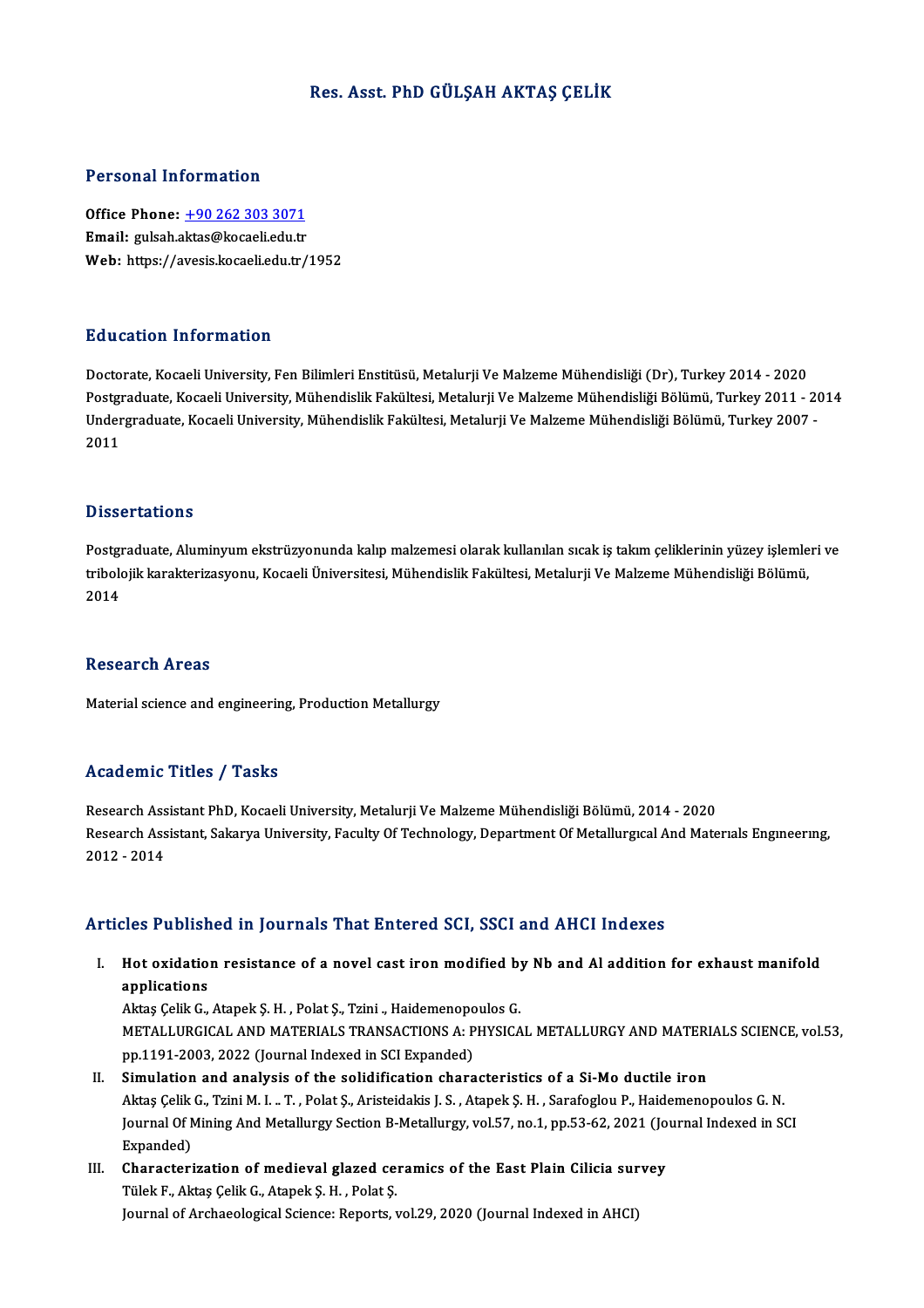## Res. Asst. PhD GÜLŞAH AKTAŞ ÇELİK

### Personal Information

Office Phone: +90 262 303 3071 Email: gulsah.a[ktas@kocaeli.edu.tr](tel:+90 262 303 3071) Web: https://avesis.kocaeli.edu.tr/1952

### Education Information

Doctorate, Kocaeli University, Fen Bilimleri Enstitüsü, Metalurji Ve Malzeme Mühendisliği (Dr), Turkey 2014 - 2020 Pu u sustsa Timominusion<br>Doctorate, Kocaeli University, Fen Bilimleri Enstitüsü, Metalurji Ve Malzeme Mühendisliği (Dr), Turkey 2014 - 2020<br>Postgraduate, Kocaeli University, Mühendislik Fakültesi, Metalurji Ve Malzeme Mühe Doctorate, Kocaeli University, Fen Bilimleri Enstitüsü, Metalurji Ve Malzeme Mühendisliği (Dr), Turkey 2014 - 2020<br>Postgraduate, Kocaeli University, Mühendislik Fakültesi, Metalurji Ve Malzeme Mühendisliği Bölümü, Turkey 2 Postgi<br>Under<br>2011 Dissertations

Dissertations<br>Postgraduate, Aluminyum ekstrüzyonunda kalıp malzemesi olarak kullanılan sıcak iş takım çeliklerinin yüzey işlemleri ve<br>triholojik karekteriresyeny, Keseeli Üniversitesi, Mühendielik Felriltesi, Metelyrii Ve Bassea tatrons<br>Postgraduate, Aluminyum ekstrüzyonunda kalıp malzemesi olarak kullanılan sıcak iş takım çeliklerinin yüzey işlemle<br>tribolojik karakterizasyonu, Kocaeli Üniversitesi, Mühendislik Fakültesi, Metalurji Ve Malze Postgi<br>tribolo<br>2014 2014<br>Research Areas

Material science and engineering, Production Metallurgy

### Academic Titles / Tasks

Research Assistant PhD, Kocaeli University, Metalurji Ve Malzeme Mühendisliği Bölümü, 2014 - 2020 redu enne "Frices", "Flasks"<br>Research Assistant PhD, Kocaeli University, Metalurji Ve Malzeme Mühendisliği Bölümü, 2014 - 2020<br>Research Assistant, Sakarya University, Faculty Of Technology, Department Of Metallurgıcal And Research Ass<br>Research Ass<br>2012 - 2014 Articles Published in Journals That Entered SCI, SSCI and AHCI Indexes

rticles Published in Journals That Entered SCI, SSCI and AHCI Indexes<br>I. Hot oxidation resistance of a novel cast iron modified by Nb and Al addition for exhaust manifold<br>Applications applications<br>applications<br>applications Hot oxidation resistance of a novel cast iron modified by<br>applications<br>Aktaş Çelik G., Atapek Ş. H. , Polat Ş., Tzini ., Haidemenopoulos G.<br>METALLUPCICAL AND MATERIALS TRANSACTIONS A. PHYSICA

applications<br>Aktaş Çelik G., Atapek Ş. H. , Polat Ş., Tzini ., Haidemenopoulos G.<br>METALLURGICAL AND MATERIALS TRANSACTIONS A: PHYSICAL METALLURGY AND MATERIALS SCIENCE, vol.53,<br>pp.1191-2003, 2022 (Journal Indexed in SCI Ex Aktaş Çelik G., Atapek Ş. H. , Polat Ş., Tzini ., Haidemenopo<br>METALLURGICAL AND MATERIALS TRANSACTIONS A: P<br>pp.1191-2003, 2022 (Journal Indexed in SCI Expanded)<br>Simulation and analysis of the solidification share

- II. Simulation and analysis of the solidification characteristics of a Si-Mo ductile iron pp.1191-2003, 2022 (Journal Indexed in SCI Expanded)<br>Si<mark>mulation and analysis of the solidification characteristics of a Si-Mo ductile iron</mark><br>Aktaş Çelik G., Tzini M. I. .. T. , Polat Ş., Aristeidakis J. S. , Atapek Ş. H. , Simulation and analysis of the solidification characteristics of a Si-Mo ductile iron<br>Aktaş Çelik G., Tzini M. I. .. T. , Polat Ş., Aristeidakis J. S. , Atapek Ş. H. , Sarafoglou P., Haidemenopoulos G. N.<br>Journal Of Mining Aktaş Çelik<br>Journal Of N<br>Expanded)<br>Charactari Journal Of Mining And Metallurgy Section B-Metallurgy, vol.57, no.1, pp.53-62, 2021 (Jo<br>Expanded)<br>III. Characterization of medieval glazed ceramics of the East Plain Cilicia survey<br>Tilel: E. Altes Celik C. Atapek S. H. Pol
- Expanded)<br>Characterization of medieval glazed ceramics of the East Plain Cilicia survey<br>Tülek F., Aktaş Çelik G., Atapek Ş. H. , Polat Ş. Journal of Archaeological Science: Reports, vol.29, 2020 (Journal Indexed in AHCI)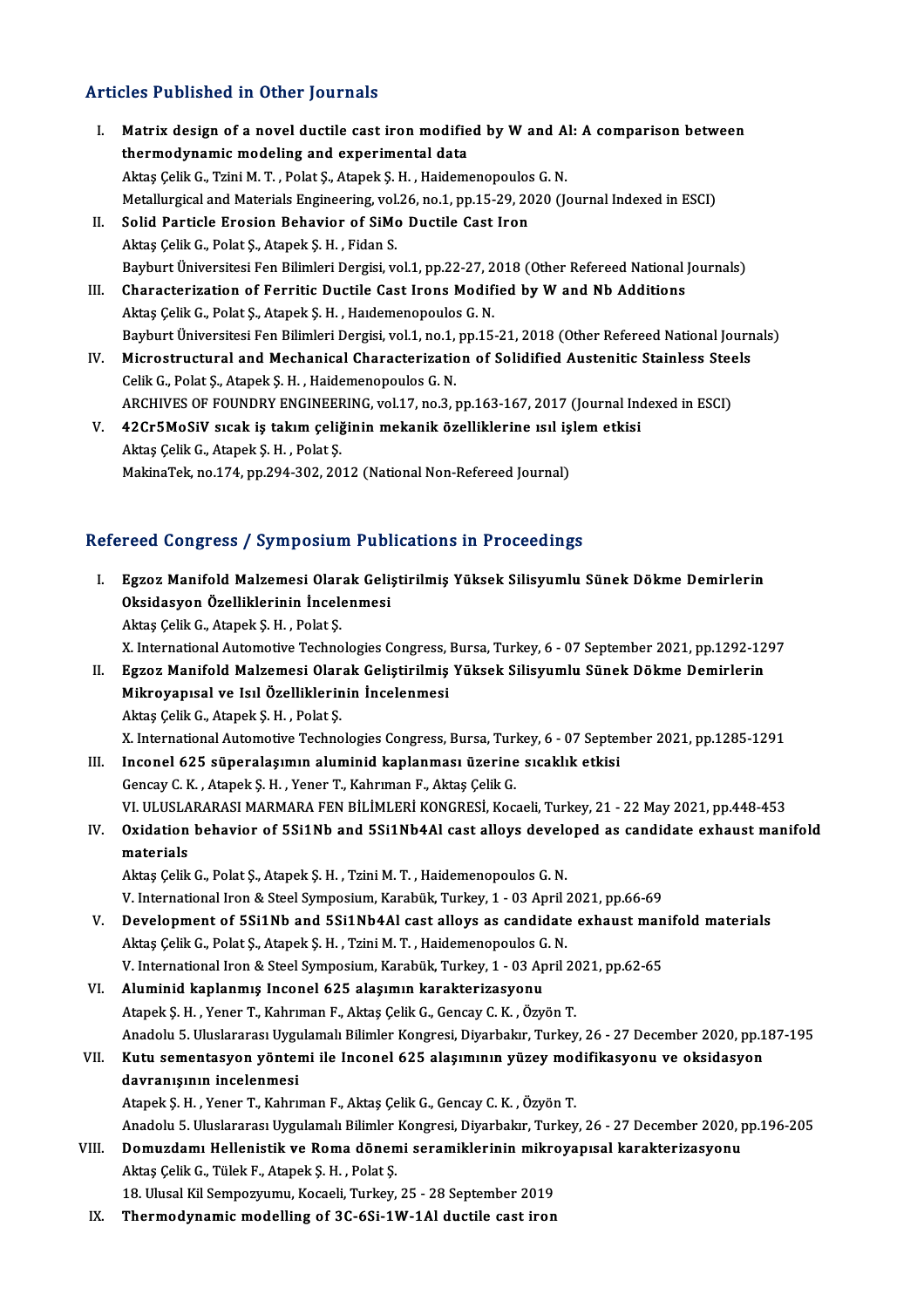# Articles Published in Other Journals

- I. Matrix design of a novel ductile cast iron modified by W and Al: A comparison between thermodynamic modeling and experimental data Matrix design of a novel ductile cast iron modified by W and A<br>thermodynamic modeling and experimental data<br>Aktaş Çelik G., Tzini M. T. , Polat Ş., Atapek Ş. H. , Haidemenopoulos G. N.<br>Metallurgiaal and Metarials Engineeri Metallurgical and Materials Engineering, vol.26, no.1, pp.15-29, 2020 (Journal Indexed in ESCI)<br>II. Solid Particle Erosion Behavior of SiMo Ductile Cast Iron Aktaş Çelik G., Tzini M. T. , Polat Ş., Atapek Ş. H. , Haidemenopoulos<br>Metallurgical and Materials Engineering, vol.26, no.1, pp.15-29, 20<br>II. Solid Particle Erosion Behavior of SiMo Ductile Cast Iron Aktaş Çelik G., Polat Ş., Atapek Ş. H., Fidan S. Solid Particle Erosion Behavior of SiMo Ductile Cast Iron<br>Aktaş Çelik G., Polat Ş., Atapek Ş. H. , Fidan S.<br>Bayburt Üniversitesi Fen Bilimleri Dergisi, vol.1, pp.22-27, 2018 (Other Refereed National Journals)<br>Chanastonizat Aktaş Çelik G., Polat Ş., Atapek Ş. H. , Fidan S.<br>Bayburt Üniversitesi Fen Bilimleri Dergisi, vol.1, pp.22-27, 2018 (Other Refereed National ]<br>III. Characterization of Ferritic Ductile Cast Irons Modified by W and Nb Addit Bayburt Üniversitesi Fen Bilimleri Dergisi, vol.1, pp.22-27, 2<br>Characterization of Ferritic Ductile Cast Irons Modif<br>Aktaş Çelik G., Polat Ş., Atapek Ş. H. , Haıdemenopoulos G. N.<br>Perhunt Üniversitesi Fen Bilimleri Dergisi Characterization of Ferritic Ductile Cast Irons Modified by W and Nb Additions<br>Aktaş Çelik G., Polat Ş., Atapek Ş. H. , Haıdemenopoulos G. N.<br>Bayburt Üniversitesi Fen Bilimleri Dergisi, vol.1, no.1, pp.15-21, 2018 (Other R
- Aktaş Çelik G., Polat Ş., Atapek Ş. H. , Haıdemenopoulos G. N.<br>Bayburt Üniversitesi Fen Bilimleri Dergisi, vol.1, no.1, pp.15-21, 2018 (Other Refereed National Journ<br>IV. Microstructural and Mechanical Characterization of S IV. Microstructural and Mechanical Characterization of Solidified Austenitic Stainless Steels<br>Celik G., Polat Ş., Atapek Ş. H. , Haidemenopoulos G. N. Microstructural and Mechanical Characterization of Solidified Austenitic Stainless Stee<br>Celik G., Polat Ș., Atapek Ș. H. , Haidemenopoulos G. N.<br>ARCHIVES OF FOUNDRY ENGINEERING, vol.17, no.3, pp.163-167, 2017 (Journal Inde Celik G., Polat Ş., Atapek Ş. H. , Haidemenopoulos G. N.<br>ARCHIVES OF FOUNDRY ENGINEERING, vol.17, no.3, pp.163-167, 2017 (Journal Inc<br>V. 42Cr5MoSiV sıcak iş takım çeliğinin mekanik özelliklerine ısıl işlem etkisi<br>Aktes Cel
- ARCHIVES OF FOUNDRY ENGINEEF<br>42Cr5MoSiV sıcak iş takım çeliğ.<br>Aktaş Çelik G., Atapek Ş. H. , Polat Ş.<br>MakinaTek na 174 nn 294 202 20. V. 42Cr5MoSiV sıcak iş takım çeliğinin mekanik özelliklerine ısıl işlem etkisi<br>Aktaş Çelik G., Atapek Ş. H. , Polat Ş.<br>MakinaTek, no.174, pp.294-302, 2012 (National Non-Refereed Journal)

## Refereed Congress / Symposium Publications in Proceedings

- I. EgzozManifold Malzemesi Olarak Geliştirilmiş Yüksek Silisyumlu Sünek Dökme Demirlerin Egzoz Manifold Malzemesi Olarak Geli;<br>Oksidasyon Özelliklerinin İncelenmesi<br>Altas Celik C. Atanak S. H., Balat S. Egzoz Manifold Malzemesi Olar<br>Oksidasyon Özelliklerinin İncel<br>Aktaş Çelik G., Atapek Ş. H. , Polat Ş.<br>Y. International Autometiya Techne Oksidasyon Özelliklerinin İncelenmesi<br>Aktaş Çelik G., Atapek Ş. H. , Polat Ş.<br>X. International Automotive Technologies Congress, Bursa, Turkey, 6 - 07 September 2021, pp.1292-1297<br>Egnen Manifold Malzomesi Olanak Colistinil Aktaş Çelik G., Atapek Ş. H. , Polat Ş.<br>I. II. Egzoz Manifold Malzemesi Olarak Geliştirilmiş Yüksek Silisyumlu Sünek Dökme Demirlerin<br>II. Egzoz Manifold Malzemesi Olarak Geliştirilmiş Yüksek Silisyumlu Sünek Dökme Demirler X. International Automotive Technologies Congress,<br>Egzoz Manifold Malzemesi Olarak Geliştirilmiş<br>Mikroyapısal ve Isıl Özelliklerinin İncelenmesi<br>Aktas Celik C. Atapek S. H., Belat S. Egzoz Manifold Malzemesi Olar<br>Mikroyapısal ve Isıl Özelliklerin<br>Aktaş Çelik G., Atapek Ş. H. , Polat Ş.<br>Y. International Autometiye Techno Mikroyapısal ve Isıl Özelliklerinin İncelenmesi<br>Aktaş Çelik G., Atapek Ş. H. , Polat Ş.<br>X. International Automotive Technologies Congress, Bursa, Turkey, 6 - 07 September 2021, pp.1285-1291<br>Insenal 625 süneralasımın alumin Aktaş Çelik G., Atapek Ş. H., Polat Ş.<br>X. International Automotive Technologies Congress, Bursa, Turkey, 6 - 07 Septer<br>III. Inconel 625 süperalaşımın aluminid kaplanması üzerine sıcaklık etkisi<br>Congay C. K., Atapek S. H., X. International Automotive Technologies Congress, Bursa, Turl<br>Inconel 625 süperalaşımın aluminid kaplanması üzerine<br>Gencay C. K. , Atapek Ş. H. , Yener T., Kahrıman F., Aktaş Çelik G.<br>VL III IISLARARASI MARMARA EEN RİLIMI
- Inconel 625 süperalaşımın aluminid kaplanması üzerine sıcaklık etkisi<br>Gencay C. K. , Atapek Ş. H. , Yener T., Kahrıman F., Aktaş Çelik G.<br>VI. ULUSLARARASI MARMARA FEN BİLİMLERİ KONGRESİ, Kocaeli, Turkey, 21 22 May 2021, Gencay C. K. , Atapek Ş. H. , Yener T., Kahrıman F., Aktaş Çelik G.<br>VI. ULUSLARARASI MARMARA FEN BİLİMLERİ KONGRESİ, Kocaeli, Turkey, 21 - 22 May 2021, pp.448-453<br>IV. Oxidation behavior of 5Si1Nb and 5Si1Nb4Al cast all
- VI. ULUSLA<br>Oxidation<br>materials<br>Altes Colik Oxidation behavior of 5Si1Nb and 5Si1Nb4Al cast alloys develomaterials<br>Aktaş Çelik G., Polat Ş., Atapek Ş. H. , Tzini M. T. , Haidemenopoulos G. N.<br>V. International Iron & Steel Symnosium Kerebük, Turkey, 1, 03 April I

materials<br>Aktaş Çelik G., Polat Ş., Atapek Ş. H. , Tzini M. T. , Haidemenopoulos G. N.<br>V. International Iron & Steel Symposium, Karabük, Turkey, 1 - 03 April 2021, pp.66-69 Aktaş Çelik G., Polat Ş., Atapek Ş. H. , Tzini M. T. , Haidemenopoulos G. N.<br>V. International Iron & Steel Symposium, Karabük, Turkey, 1 - 03 April 2021, pp.66-69<br>V. Development of 5Si1Nb and 5Si1Nb4Al cast alloys as candi

- V. International Iron & Steel Symposium, Karabük, Turkey, 1 03 April :<br>Development of 5Si1Nb and 5Si1Nb4Al cast alloys as candidate<br>Aktaş Çelik G., Polat Ş., Atapek Ş. H. , Tzini M. T. , Haidemenopoulos G. N.<br>V. Internat Development of 5Si1Nb and 5Si1Nb4Al cast alloys as candidate exhaust man<br>Aktaş Çelik G., Polat Ş., Atapek Ş. H. , Tzini M. T. , Haidemenopoulos G. N.<br>V. International Iron & Steel Symposium, Karabük, Turkey, 1 - 03 April 2 Aktaş Çelik G., Polat Ş., Atapek Ş. H. , Tzini M. T. , Haidemenopoulos G<br>V. International Iron & Steel Symposium, Karabük, Turkey, 1 - 03 Ap<br>VI. Aluminid kaplanmış Inconel 625 alaşımın karakterizasyonu<br>Atapek S. H. Vener T
- V. International Iron & Steel Symposium, Karabük, Turkey, 1 03 April 2021, pp.62-65<br>VI. Aluminid kaplanmış Inconel 625 alaşımın karakterizasyonu<br>Atapek Ş. H. , Yener T., Kahrıman F., Aktaş Çelik G., Gencay C. K. , Özyön Aluminid kaplanmış Inconel 625 alaşımın karakterizasyonu<br>Atapek Ş. H. , Yener T., Kahrıman F., Aktaş Çelik G., Gencay C. K. , Özyön T.<br>Anadolu 5. Uluslararası Uygulamalı Bilimler Kongresi, Diyarbakır, Turkey, 26 - 27 Decem Atapek Ş. H. , Yener T., Kahrıman F., Aktaş Çelik G., Gencay C. K. , Özyön T.<br>Anadolu 5. Uluslararası Uygulamalı Bilimler Kongresi, Diyarbakır, Turkey, 26 - 27 December 2020, pp.1<br>VII. Kutu sementasyon yöntemi ile Inco Anadolu 5. Uluslararası Uygu<br>Kutu sementasyon yöntel<br>davranışının incelenmesi<br>Atapek S.H., Vener T. Kabru Kutu sementasyon yöntemi ile Inconel 625 alaşımının yüzey mooduvranışının incelenmesi<br>davranışının incelenmesi<br>Atapek Ş. H. , Yener T., Kahrıman F., Aktaş Çelik G., Gencay C. K. , Özyön T.<br>Anadelu E. Uluslararası Uvgulamal **davranışının incelenmesi**<br>Atapek Ş. H. , Yener T., Kahrıman F., Aktaş Çelik G., Gencay C. K. , Özyön T.<br>Anadolu 5. Uluslararası Uygulamalı Bilimler Kongresi, Diyarbakır, Turkey, 26 - 27 December 2020, pp.196-205 Atapek Ş. H. , Yener T., Kahrıman F., Aktaş Çelik G., Gencay C. K. , Özyön T.<br>Anadolu 5. Uluslararası Uygulamalı Bilimler Kongresi, Diyarbakır, Turkey, 26 - 27 December 2020, p<br>VIII. Domuzdamı Hellenistik ve Roma dönemi se
- Anadolu 5. Uluslararası Uygulamalı Bilimler<br>Domuzdamı Hellenistik ve Roma dönen<br>Aktaş Çelik G., Tülek F., Atapek Ş. H. , Polat Ş.<br>19. Ulusel Kil Somnownumu, Kesseli Turkay. Domuzdamı Hellenistik ve Roma dönemi seramiklerinin mikro<br>Aktaş Çelik G., Tülek F., Atapek Ş. H. , Polat Ş.<br>18. Ulusal Kil Sempozyumu, Kocaeli, Turkey, 25 - 28 September 2019<br>Thermedunemis modelling of 26,651,1W, 1Al dusti Aktaş Çelik G., Tülek F., Atapek Ş. H. , Polat Ş.<br>18. Ulusal Kil Sempozyumu, Kocaeli, Turkey, 25 - 28 September 2019<br>IX. Thermodynamic modelling of 3C-6Si-1W-1Al ductile cast iron
-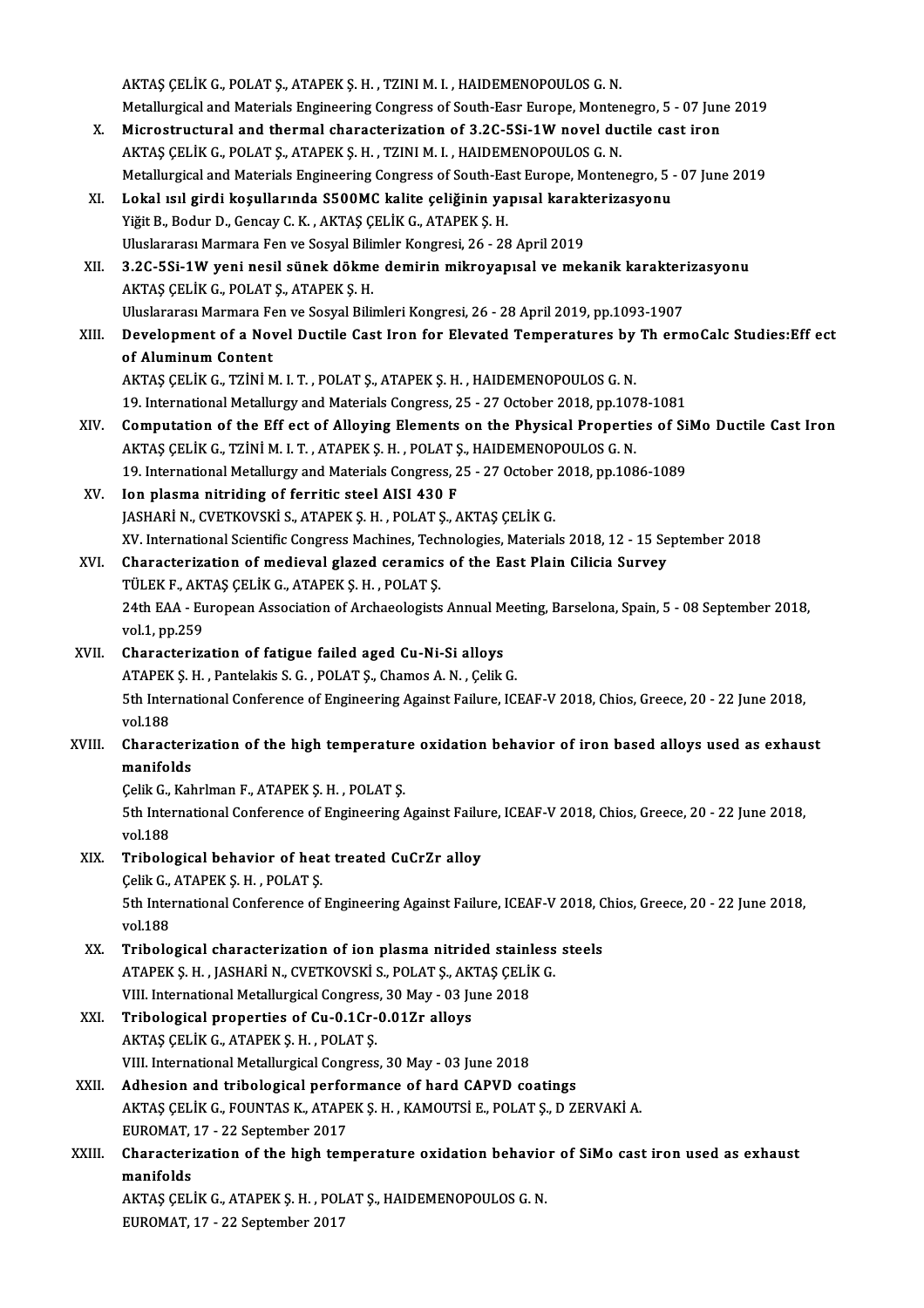AKTAŞ ÇELİK G., POLAT Ş., ATAPEK Ş. H., TZINI M. I., HAIDEMENOPOULOS G. N. Metallurgical and Materials Engineering Congress of South-Easr Europe, Montenegro, 5 - 07 June 2019 AKTAŞ ÇELİK G., POLAT Ş., ATAPEK Ş. H., TZINI M. I., HAIDEMENOPOULOS G. N.<br>Metallurgical and Materials Engineering Congress of South-Easr Europe, Montenegro, 5 - 07 Jun<br>X. Microstructural and thermal characterization of 3. Metallurgical and Materials Engineering Congress of South-Easr Europe, Monter<br>Microstructural and thermal characterization of 3.2C-5Si-1W novel du<br>AKTAŞ ÇELİK G., POLAT Ş., ATAPEK Ş. H. , TZINI M. I. , HAIDEMENOPOULOS G. N AKTAŞ ÇELİK G., POLAT Ş., ATAPEK Ş. H. , TZINI M. I. , HAIDEMENOPOULOS G. N.<br>Metallurgical and Materials Engineering Congress of South-East Europe, Montenegro, 5 - 07 June 2019 AKTAŞ ÇELİK G., POLAT Ş., ATAPEK Ş. H. , TZINI M. I. , HAIDEMENOPOULOS G. N.<br>Metallurgical and Materials Engineering Congress of South-East Europe, Montenegro, 5 -<br>XI. Lokal ısıl girdi koşullarında S500MC kalite çeliğinin Yiğit B., Bodur D., Gencay C. K. , AKTAŞ ÇELİK G., ATAPEK Ş. H.<br>Uluslararası Marmara Fen ve Sosyal Bilimler Kongresi, 26 - 28 April 2019 Lokal ısıl girdi koşullarında S500MC kalite çeliğinin yapısal karak<br>Yiğit B., Bodur D., Gencay C. K. , AKTAŞ ÇELİK G., ATAPEK Ş. H.<br>Uluslararası Marmara Fen ve Sosyal Bilimler Kongresi, 26 - 28 April 2019<br>2.2C ESi. 1.W. yo Yiğit B., Bodur D., Gencay C. K. , AKTAŞ ÇELİK G., ATAPEK Ş. H.<br>Uluslararası Marmara Fen ve Sosyal Bilimler Kongresi, 26 - 28 April 2019<br>XII. 3.2C-5Si-1W yeni nesil sünek dökme demirin mikroyapısal ve mekanik karakterizasy AKTAŞÇELİKG.,POLATŞ.,ATAPEKŞ.H. 3.2C-5Si-1W yeni nesil sünek dökme demirin mikroyapısal ve mekanik karakter<br>AKTAŞ ÇELİK G., POLAT Ş., ATAPEK Ş. H.<br>Uluslararası Marmara Fen ve Sosyal Bilimleri Kongresi, 26 - 28 April 2019, pp.1093-1907<br>Davelopment of a Na XIII. Development of a Novel Ductile Cast Iron for Elevated Temperatures by Th ermoCalc Studies: Eff ect of Aluminum Content Uluslararası Marmara Fen ve Sosyal Bilimleri Kongresi, 26 - 28 April 2019, pp.1093-1907 AKTAŞÇELİKG.,TZİNİM. I.T. ,POLATŞ.,ATAPEKŞ.H. ,HAIDEMENOPOULOSG.N. of Aluminum Content<br>AKTAŞ ÇELİK G., TZİNİ M. I. T. , POLAT Ş., ATAPEK Ş. H. , HAIDEMENOPOULOS G. N.<br>19. International Metallurgy and Materials Congress, 25 - 27 October 2018, pp.1078-1081<br>Computation of the Eff est of Allo AKTAŞ ÇELİK G., TZİNİ M. I. T. , POLAT Ş., ATAPEK Ş. H. , HAIDEMENOPOULOS G. N.<br>19. International Metallurgy and Materials Congress, 25 - 27 October 2018, pp.1078-1081<br>XIV. Computation of the Eff ect of Alloying Elements o 19. International Metallurgy and Materials Congress, 25 - 27 October 2018, pp.107<br>Computation of the Eff ect of Alloying Elements on the Physical Properti<br>AKTAŞ ÇELİK G., TZİNİ M. I.T., ATAPEK Ş. H., POLAT Ş., HAIDEMENOPOU Computation of the Eff ect of Alloying Elements on the Physical Properties of Si<br>AKTAŞ ÇELİK G., TZİNİ M. I. T. , ATAPEK Ş. H. , POLAT Ş., HAIDEMENOPOULOS G. N.<br>19. International Metallurgy and Materials Congress, 25 - 27 AKTAŞ ÇELİK G., TZİNİ M. I. T. , ATAPEK Ş. H. , POLAT Ş., HAIDEMENOPOULOS G. N.<br>19. International Metallurgy and Materials Congress, 25 - 27 October 2018, pp.1086-1089<br>XV. Ion plasma nitriding of ferritic steel AISI 430 F JASHARİN., CVETKOVSKİ S., ATAPEK Ş.H., POLAT Ş., AKTAŞ ÇELİK G. XV. InternationalScientificCongressMachines,Technologies,Materials2018,12 -15 September 2018 XVI. Characterization ofmedieval glazed ceramics of the East Plain Cilicia Survey XV. International Scientific Congress Machines, Technics<br>Characterization of medieval glazed ceramics<br>TÜLEK F., AKTAŞ ÇELİK G., ATAPEK Ş. H. , POLAT Ş. 24th EAA - European Association of Archaeologists Annual Meeting, Barselona, Spain, 5 - 08 September 2018, vol.1, pp.259 TÜLEK F., AKT<br>24th EAA - Eu<br>vol.1, pp.259<br>Characterize XVII. Characterization of fatigue failed aged Cu-Ni-Si alloys vol.1, pp.259<br>Characterization of fatigue failed aged Cu-Ni-Si alloys<br>ATAPEK Ş. H. , Pantelakis S. G. , POLAT Ş., Chamos A. N. , Çelik G.<br>Eth International Conference of Engineering Ageinst Failure JC. 5th International Conference of Engineering Against Failure, ICEAF-V 2018, Chios, Greece, 20 - 22 June 2018, vol.188 ATAPEK<br>5th Inter<br>vol.188 5th International Conference of Engineering Against Failure, ICEAF-V 2018, Chios, Greece, 20 - 22 June 2018,<br>vol.188<br>XVIII. Characterization of the high temperature oxidation behavior of iron based alloys used as exhaust<br>m vol.188<br>Characteri<br>manifolds<br>Colik C. Kol Characterization of the high temperatur<br>manifolds<br>Çelik G., Kahrlman F., ATAPEK Ş. H. , POLAT Ş.<br>Eth International Conference of Engineering ( **manifolds**<br>Çelik G., Kahrlman F., ATAPEK Ş. H. , POLAT Ş.<br>5th International Conference of Engineering Against Failure, ICEAF-V 2018, Chios, Greece, 20 - 22 June 2018,<br>vel 199 Celik G.,<br>5th Inter<br>vol.188<br>Tribele 5th International Conference of Engineering Against Failu<br>vol.188<br>XIX. Tribological behavior of heat treated CuCrZr alloy vol.188<br>Tribological behavior of hea<br>Çelik G., ATAPEK Ş. H. , POLAT Ş.<br>Eth International Conference of 5th International Conference of Engineering Against Failure, ICEAF-V 2018, Chios, Greece, 20 - 22 June 2018, vol.188 Celik G., ATAPEK S. H., POLAT S. 5th International Conference of Engineering Against Failure, ICEAF-V 2018, C<br>vol.188<br>XX. Tribological characterization of ion plasma nitrided stainless steels<br>ATABEKS H JASHARIN CUETKOVSKIS BOLATS AKTAS CELIK C vol.188<br>Tribological characterization of ion plasma nitrided stainless<br>ATAPEK Ş. H. , JASHARİ N., CVETKOVSKİ S., POLAT Ş., AKTAŞ ÇELİK G.<br>VIII. International Metallurgical Congress, 20 May , 02 June 2019 Tribological characterization of ion plasma nitrided stainl<br>ATAPEK Ş. H. , JASHARİ N., CVETKOVSKİ S., POLAT Ş., AKTAŞ ÇELİ<br>VIII. International Metallurgical Congress, 30 May - 03 June 2018<br>Tribological proportios of Cu. 0 ATAPEK Ş. H. , JASHARİ N., CVETKOVSKİ S., POLAT Ş., AKTAŞ ÇELİK G.<br>VIII. International Metallurgical Congress, 30 May - 03 June 2018<br>XXI. Tribological properties of Cu-0.1Cr-0.01Zr alloys<br>AKTAŞ ÇELİK G., ATAPEK Ş. H. , VIII. International Metallurgical Congress<br>Tribological properties of Cu-0.1Cr-<br>AKTAŞ ÇELİK G., ATAPEK Ş. H. , POLAT Ş.<br>VIII. International Metallurgical Congress VIII. International Metallurgical Congress, 30 May - 03 June 2018 AKTAŞ ÇELİK G., ATAPEK Ş. H., POLAT Ş.<br>VIII. International Metallurgical Congress, 30 May - 03 June 2018<br>XXII. Adhesion and tribological performance of hard CAPVD coatings<br>AKTAS CELİK G. FOUNTAS K. ATAPEK S. H. KAMOUTSİ E. AKTAŞ ÇELİK G., FOUNTAS K., ATAPEK Ş. H. , KAMOUTSİ E., POLAT Ş., D ZERVAKİ A.<br>EUROMAT, 17 - 22 September 2017 Adhesion and tribological perform<br>AKTAŞ ÇELİK G., FOUNTAS K., ATAPE<br>EUROMAT, 17 - 22 September 2017<br>Characterization of the high tem AKTAŞ ÇELİK G., FOUNTAS K., ATAPEK Ş. H. , KAMOUTSİ E., POLAT Ş., D ZERVAKİ A.<br>EUROMAT, 17 - 22 September 2017<br>XXIII. Characterization of the high temperature oxidation behavior of SiMo cast iron used as exhaust<br>manifolds. EUROMAT,<br>Characteri<br>manifolds<br>AKTAS CEL Characterization of the high temperature oxidation behavio<br>manifolds<br>AKTAŞ ÇELİK G., ATAPEK Ş. H. , POLAT Ş., HAIDEMENOPOULOS G. N.<br>EUROMAT 17 - 22 Santambar 2017 manifolds<br>AKTAŞ ÇELİK G., ATAPEK Ş. H. , POLAT Ş., HAIDEMENOPOULOS G. N.<br>EUROMAT, 17 - 22 September 2017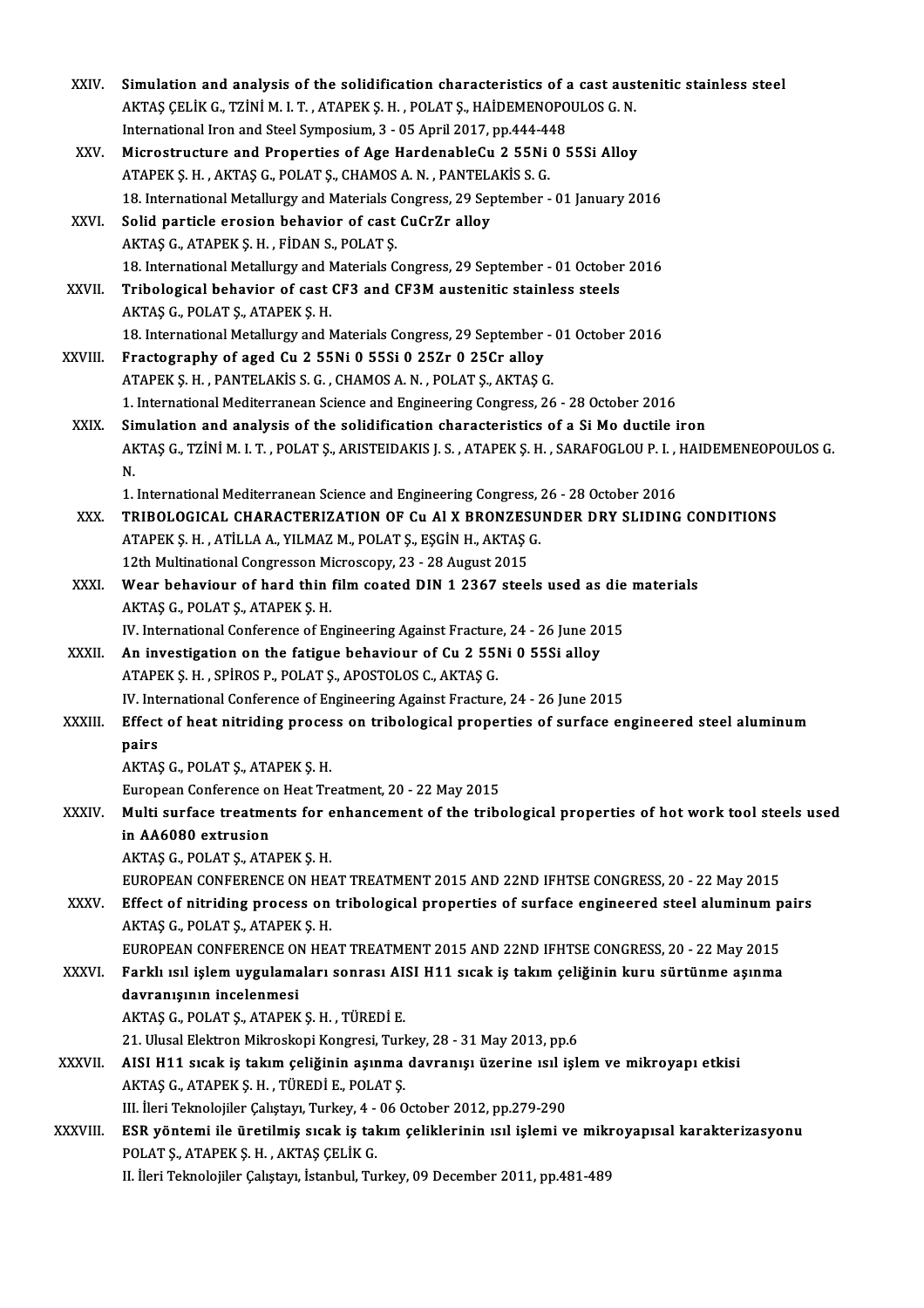| XXIV.          | Simulation and analysis of the solidification characteristics of a cast austenitic stainless steel                                                                                     |
|----------------|----------------------------------------------------------------------------------------------------------------------------------------------------------------------------------------|
|                | AKTAŞ ÇELİK G., TZİNİ M. I. T. , ATAPEK Ş. H. , POLAT Ş., HAİDEMENOPOULOS G. N.                                                                                                        |
|                | International Iron and Steel Symposium, 3 - 05 April 2017, pp.444-448                                                                                                                  |
| XXV.           | Microstructure and Properties of Age HardenableCu 2 55Ni 0 55Si Alloy                                                                                                                  |
|                | ATAPEK Ş. H., AKTAŞ G., POLAT Ş., CHAMOS A. N., PANTELAKİS S. G.                                                                                                                       |
|                | 18. International Metallurgy and Materials Congress, 29 September - 01 January 2016                                                                                                    |
| XXVI.          | Solid particle erosion behavior of cast CuCrZr alloy                                                                                                                                   |
|                | AKTAŞ G., ATAPEK Ş. H., FİDAN S., POLAT Ş.                                                                                                                                             |
|                | 18. International Metallurgy and Materials Congress, 29 September - 01 October 2016                                                                                                    |
| XXVII.         | Tribological behavior of cast CF3 and CF3M austenitic stainless steels                                                                                                                 |
|                | AKTAŞ G., POLAT Ş., ATAPEK Ş. H.                                                                                                                                                       |
|                | 18. International Metallurgy and Materials Congress, 29 September - 01 October 2016                                                                                                    |
| XXVIII.        | Fractography of aged Cu 2 55Ni 0 55Si 0 25Zr 0 25Cr alloy                                                                                                                              |
|                | ATAPEK S. H., PANTELAKIS S. G., CHAMOS A. N., POLAT S., AKTAS G.                                                                                                                       |
|                | 1. International Mediterranean Science and Engineering Congress, 26 - 28 October 2016                                                                                                  |
| XXIX.          | Simulation and analysis of the solidification characteristics of a Si Mo ductile iron                                                                                                  |
|                | AKTAŞ G., TZİNİ M. I. T. , POLAT Ş., ARISTEIDAKIS J. S. , ATAPEK Ş. H. , SARAFOGLOU P. I. , HAIDEMENEOPOULOS G.<br>N.                                                                  |
|                | 1. International Mediterranean Science and Engineering Congress, 26 - 28 October 2016                                                                                                  |
| XXX.           | TRIBOLOGICAL CHARACTERIZATION OF Cu AI X BRONZESUNDER DRY SLIDING CONDITIONS                                                                                                           |
|                | ATAPEK Ş. H., ATİLLA A., YILMAZ M., POLAT Ş., EŞGİN H., AKTAŞ G.                                                                                                                       |
|                | 12th Multinational Congresson Microscopy, 23 - 28 August 2015                                                                                                                          |
| XXXI.          | Wear behaviour of hard thin film coated DIN 1 2367 steels used as die materials                                                                                                        |
|                | AKTAŞ G., POLAT Ş., ATAPEK Ş. H.                                                                                                                                                       |
|                | IV. International Conference of Engineering Against Fracture, 24 - 26 June 2015                                                                                                        |
| XXXII.         | An investigation on the fatigue behaviour of Cu 2 55Ni 0 55Si alloy                                                                                                                    |
|                | ATAPEK S. H., SPIROS P., POLAT S., APOSTOLOS C., AKTAS G.                                                                                                                              |
|                | IV. International Conference of Engineering Against Fracture, 24 - 26 June 2015                                                                                                        |
| <b>XXXIII.</b> | Effect of heat nitriding process on tribological properties of surface engineered steel aluminum                                                                                       |
|                | pairs                                                                                                                                                                                  |
|                | AKTAŞ G., POLAT Ş., ATAPEK Ş. H.                                                                                                                                                       |
|                | European Conference on Heat Treatment, 20 - 22 May 2015                                                                                                                                |
| XXXIV.         | Multi surface treatments for enhancement of the tribological properties of hot work tool steels used                                                                                   |
|                | in AA6080 extrusion                                                                                                                                                                    |
|                | AKTAŞ G., POLAT Ş., ATAPEK Ş. H.                                                                                                                                                       |
| XXXV.          | EUROPEAN CONFERENCE ON HEAT TREATMENT 2015 AND 22ND IFHTSE CONGRESS, 20 - 22 May 2015                                                                                                  |
|                | Effect of nitriding process on tribological properties of surface engineered steel aluminum pairs                                                                                      |
|                | AKTAŞ G., POLAT Ş., ATAPEK Ş. H.                                                                                                                                                       |
| <b>XXXVI</b>   | EUROPEAN CONFERENCE ON HEAT TREATMENT 2015 AND 22ND IFHTSE CONGRESS, 20 - 22 May 2015<br>Farklı ısıl işlem uygulamaları sonrası AISI H11 sıcak iş takım çeliğinin kuru sürtünme aşınma |
|                | davranışının incelenmesi                                                                                                                                                               |
|                | AKTAŞ G., POLAT Ş., ATAPEK Ş. H., TÜREDİ E.                                                                                                                                            |
|                | 21. Ulusal Elektron Mikroskopi Kongresi, Turkey, 28 - 31 May 2013, pp.6                                                                                                                |
| XXXVII.        | AISI H11 sıcak iş takım çeliğinin aşınma davranışı üzerine ısıl işlem ve mikroyapı etkisi                                                                                              |
|                | AKTAŞ G., ATAPEK Ş. H., TÜREDİ E., POLAT Ş.                                                                                                                                            |
|                | III. İleri Teknolojiler Çalıştayı, Turkey, 4 - 06 October 2012, pp.279-290                                                                                                             |
| XXXVIII.       | ESR yöntemi ile üretilmiş sıcak iş takım çeliklerinin ısıl işlemi ve mikroyapısal karakterizasyonu                                                                                     |
|                | POLAT Ş., ATAPEK Ş. H., AKTAŞ ÇELİK G.                                                                                                                                                 |
|                | II. İleri Teknolojiler Çalıştayı, İstanbul, Turkey, 09 December 2011, pp.481-489                                                                                                       |
|                |                                                                                                                                                                                        |